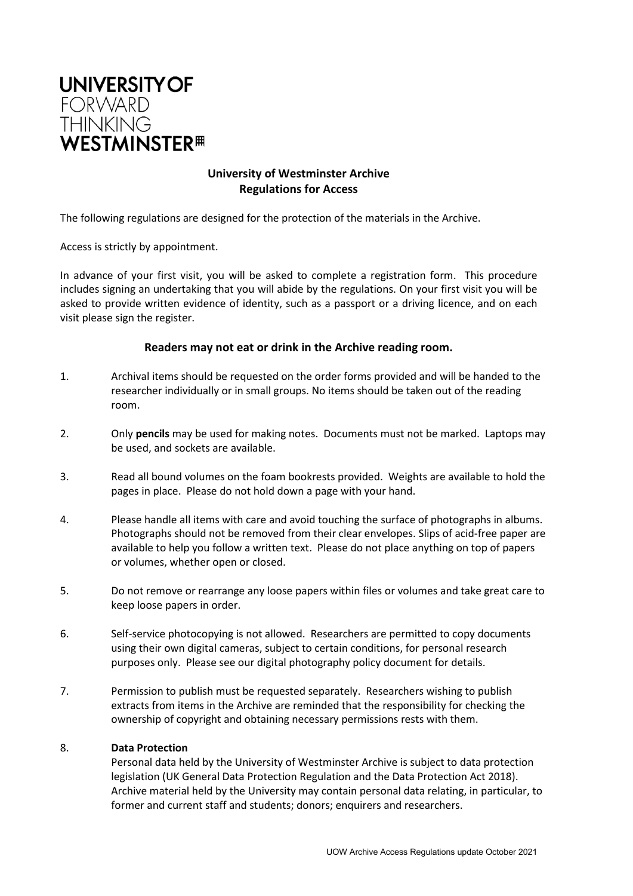

## **University of Westminster Archive Regulations for Access**

The following regulations are designed for the protection of the materials in the Archive.

Access is strictly by appointment.

In advance of your first visit, you will be asked to complete a registration form. This procedure includes signing an undertaking that you will abide by the regulations. On your first visit you will be asked to provide written evidence of identity, such as a passport or a driving licence, and on each visit please sign the register.

## **Readers may not eat or drink in the Archive reading room.**

- 1. Archival items should be requested on the order forms provided and will be handed to the researcher individually or in small groups. No items should be taken out of the reading room.
- 2. Only **pencils** may be used for making notes. Documents must not be marked. Laptops may be used, and sockets are available.
- 3. Read all bound volumes on the foam bookrests provided. Weights are available to hold the pages in place. Please do not hold down a page with your hand.
- 4. Please handle all items with care and avoid touching the surface of photographs in albums. Photographs should not be removed from their clear envelopes. Slips of acid-free paper are available to help you follow a written text. Please do not place anything on top of papers or volumes, whether open or closed.
- 5. Do not remove or rearrange any loose papers within files or volumes and take great care to keep loose papers in order.
- 6. Self-service photocopying is not allowed. Researchers are permitted to copy documents using their own digital cameras, subject to certain conditions, for personal research purposes only. Please see our digital photography policy document for details.
- 7. Permission to publish must be requested separately. Researchers wishing to publish extracts from items in the Archive are reminded that the responsibility for checking the ownership of copyright and obtaining necessary permissions rests with them.

## 8. **Data Protection**

Personal data held by the University of Westminster Archive is subject to data protection legislation (UK General Data Protection Regulation and the Data Protection Act 2018). Archive material held by the University may contain personal data relating, in particular, to former and current staff and students; donors; enquirers and researchers.